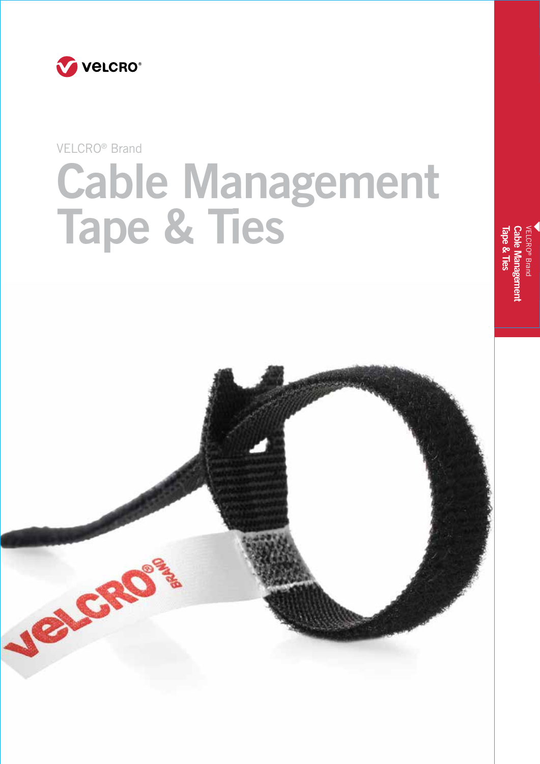

## VELCRO® Brand

# **Cable Management Tape & Ties**

VELCRO® Brand

:LCRO® Brand<br>:LCRO® Brand

**Tape & Ties Cable Management** 

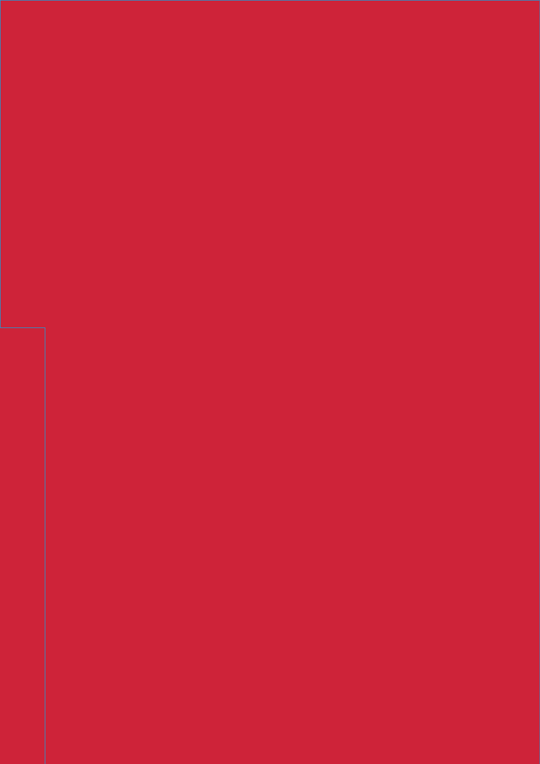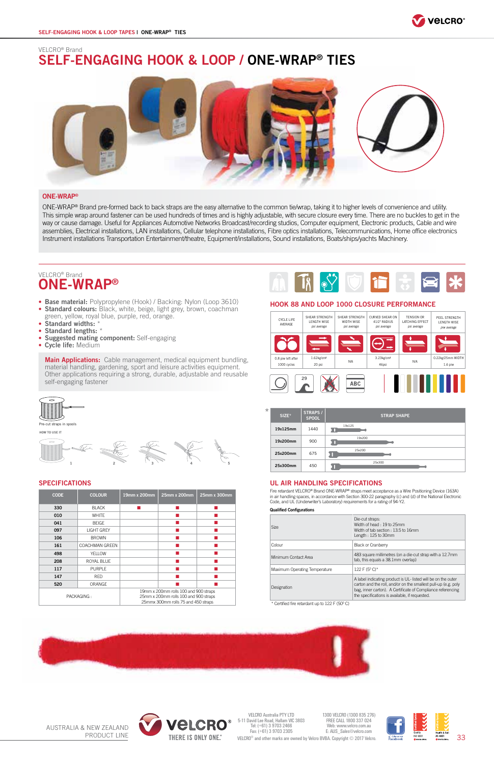

## VELCRO® Brand **SELF-ENGAGING HOOK & LOOP / ONE-WRAP® TIES**



#### **ONE-WRAP®**

ONE-WRAP® Brand pre-formed back to back straps are the easy alternative to the common tie/wrap, taking it to higher levels of convenience and utility. This simple wrap around fastener can be used hundreds of times and is highly adjustable, with secure closure every time. There are no buckles to get in the way or cause damage. Useful for Appliances Automotive Networks Broadcast/recording studios, Computer equipment, Electronic products, Cable and wire assemblies, Electrical installations, LAN installations, Cellular telephone installations, Fibre optics installations, Telecommunications, Home office electronics Instrument installations Transportation Entertainment/theatre, Equipment/installations, Sound installations, Boats/ships/yachts Machinery.

## VELCRO® Brand **ONE-WRAP®**

- **Base material:** Polypropylene (Hook) / Backing: Nylon (Loop 3610) **• Standard colours:** Black, white, beige, light grey, brown, coachman
- green, yellow, royal blue, purple, red, orange.  **Standard widths:** \*
- 
- **Standard lengths:** \*
- **Suggested mating component:** Self-engaging
- **Cycle life:** Medium

**Main Applications:** Cable management, medical equipment bundling, material handling, gardening, sport and leisure activities equipment. Other applications requiring a strong, durable, adjustable and reusable **29**<br>self-engaging fastener



#### **SPECIFICATIONS**

| <b>CODE</b> | <b>COLOUR</b>  | 19mm x 200mm                                                                                                          | 25mm x 200mm | 25mm x 300mm |  |
|-------------|----------------|-----------------------------------------------------------------------------------------------------------------------|--------------|--------------|--|
| 330         | <b>BLACK</b>   |                                                                                                                       | ш            |              |  |
| 010         | <b>WHITE</b>   |                                                                                                                       | ш            |              |  |
| 041         | <b>BEIGE</b>   |                                                                                                                       |              |              |  |
| 097         | LIGHT GREY     |                                                                                                                       |              |              |  |
| 106         | <b>BROWN</b>   |                                                                                                                       |              |              |  |
| 161         | COACHMAN GREEN |                                                                                                                       | ٠            |              |  |
| 498         | YELLOW         |                                                                                                                       |              |              |  |
| 208         | ROYAL BLUE     |                                                                                                                       |              |              |  |
| 117         | <b>PURPLE</b>  |                                                                                                                       | ٠            |              |  |
| 147         | RED            |                                                                                                                       |              |              |  |
| 520         | ORANGE         |                                                                                                                       |              |              |  |
| PACKAGING : |                | 19mm x 200mm rolls 100 and 900 straps<br>25mm x 200mm rolls 100 and 900 straps<br>25mmx 300mm rolls 75 and 450 straps |              |              |  |



#### **HOOK 88 AND LOOP 1000 CLOSURE PERFORMANCE**



| $\star$ | SIZE*    | <b>STRAPS /</b><br><b>SPOOL</b> | <b>STRAP SHAPE</b> |  |  |
|---------|----------|---------------------------------|--------------------|--|--|
|         | 19x125mm | 1440                            | 19x125             |  |  |
|         | 19x200mm | 900                             | 19x200             |  |  |
|         | 25x200mm | 675                             | 25x200             |  |  |
|         | 25x300mm | 450                             | 25x300             |  |  |

#### **UL AIR HANDLING SPECIFICATIONS**

Fire retardant VELCRO® Brand ONE-WRAP® straps meet acceptance as a Wire Positioning Device (163A)<br>in air handling spaces, in accordance with Section 300-22 paragraphy (c) and (d) of the National Electronic<br>Code, and UL (Un

#### **Qualified Configurations**

| Size                          | Die-cut straps:<br>Width of head : 19 to 25mm<br>Width of tab section : 13.5 to 16mm<br>Length: 125 to 30mm                                                                                                                                      |  |  |  |
|-------------------------------|--------------------------------------------------------------------------------------------------------------------------------------------------------------------------------------------------------------------------------------------------|--|--|--|
| Colour                        | <b>Black or Cranberry</b>                                                                                                                                                                                                                        |  |  |  |
| Minimum Contact Area          | 483 square millimetres (on a die-cut strap with a 12.7mm<br>tab, this equals a 38.1mm overlap)                                                                                                                                                   |  |  |  |
| Maximum Operating Temperature | 122 F (5° C)*                                                                                                                                                                                                                                    |  |  |  |
| Designation                   | A label indicating product is UL- listed will be on the outer<br>carton and the roll, and/or on the smallest pull-up (e.g. poly<br>bag, inner carton). A Certificate of Compliance referencing<br>the specifications is available, if requested. |  |  |  |

 $*$  Certified fire retardant up to 122 F (50 $^{\circ}$  C)





PRODUCT LINE **THERE IS ONLY ONE.** VELCRO® and other marks are owned by Velcro BVBA. Copyright © 2017 Velcro. Procedured and the marks are owned by Velcro BVBA. Copyright © 2017 Velcro. Procedured and the marks are owned b VELCRO Australia PTY LTD 5-11 David Lee Road, Hallam VIC 3803 Tel: (+61) 3 9703 2466 Fax: (+61) 3 9703 2305

1300 VELCRO (1300 835 276) FREE CALL 1800 337 024 Web: www.velcro.com.au E: AUS\_Sales@velcro.com